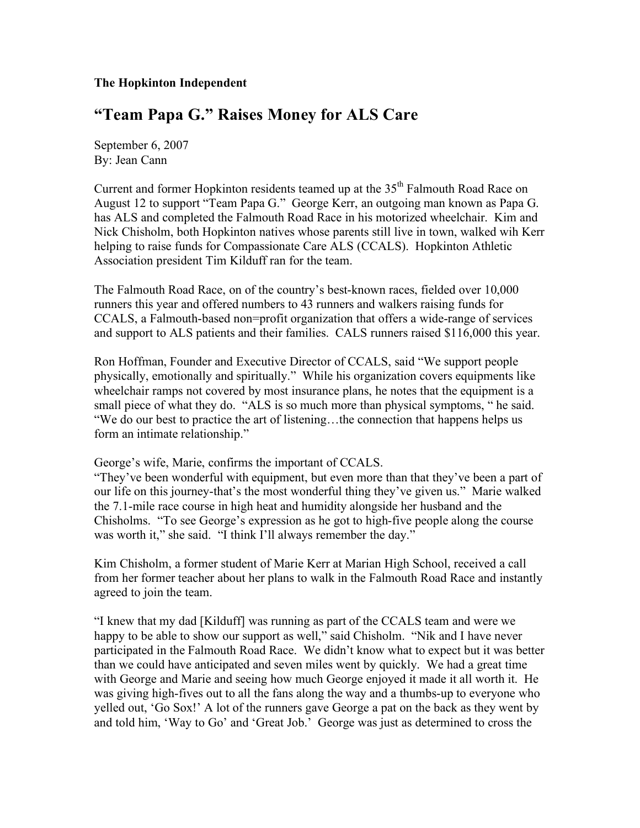## **The Hopkinton Independent**

## **"Team Papa G." Raises Money for ALS Care**

September 6, 2007 By: Jean Cann

Current and former Hopkinton residents teamed up at the  $35<sup>th</sup>$  Falmouth Road Race on August 12 to support "Team Papa G." George Kerr, an outgoing man known as Papa G. has ALS and completed the Falmouth Road Race in his motorized wheelchair. Kim and Nick Chisholm, both Hopkinton natives whose parents still live in town, walked wih Kerr helping to raise funds for Compassionate Care ALS (CCALS). Hopkinton Athletic Association president Tim Kilduff ran for the team.

The Falmouth Road Race, on of the country's best-known races, fielded over 10,000 runners this year and offered numbers to 43 runners and walkers raising funds for CCALS, a Falmouth-based non=profit organization that offers a wide-range of services and support to ALS patients and their families. CALS runners raised \$116,000 this year.

Ron Hoffman, Founder and Executive Director of CCALS, said "We support people physically, emotionally and spiritually." While his organization covers equipments like wheelchair ramps not covered by most insurance plans, he notes that the equipment is a small piece of what they do. "ALS is so much more than physical symptoms, " he said. "We do our best to practice the art of listening…the connection that happens helps us form an intimate relationship."

## George's wife, Marie, confirms the important of CCALS.

"They've been wonderful with equipment, but even more than that they've been a part of our life on this journey-that's the most wonderful thing they've given us." Marie walked the 7.1-mile race course in high heat and humidity alongside her husband and the Chisholms. "To see George's expression as he got to high-five people along the course was worth it," she said. "I think I'll always remember the day."

Kim Chisholm, a former student of Marie Kerr at Marian High School, received a call from her former teacher about her plans to walk in the Falmouth Road Race and instantly agreed to join the team.

"I knew that my dad [Kilduff] was running as part of the CCALS team and were we happy to be able to show our support as well," said Chisholm. "Nik and I have never participated in the Falmouth Road Race. We didn't know what to expect but it was better than we could have anticipated and seven miles went by quickly. We had a great time with George and Marie and seeing how much George enjoyed it made it all worth it. He was giving high-fives out to all the fans along the way and a thumbs-up to everyone who yelled out, 'Go Sox!' A lot of the runners gave George a pat on the back as they went by and told him, 'Way to Go' and 'Great Job.' George was just as determined to cross the